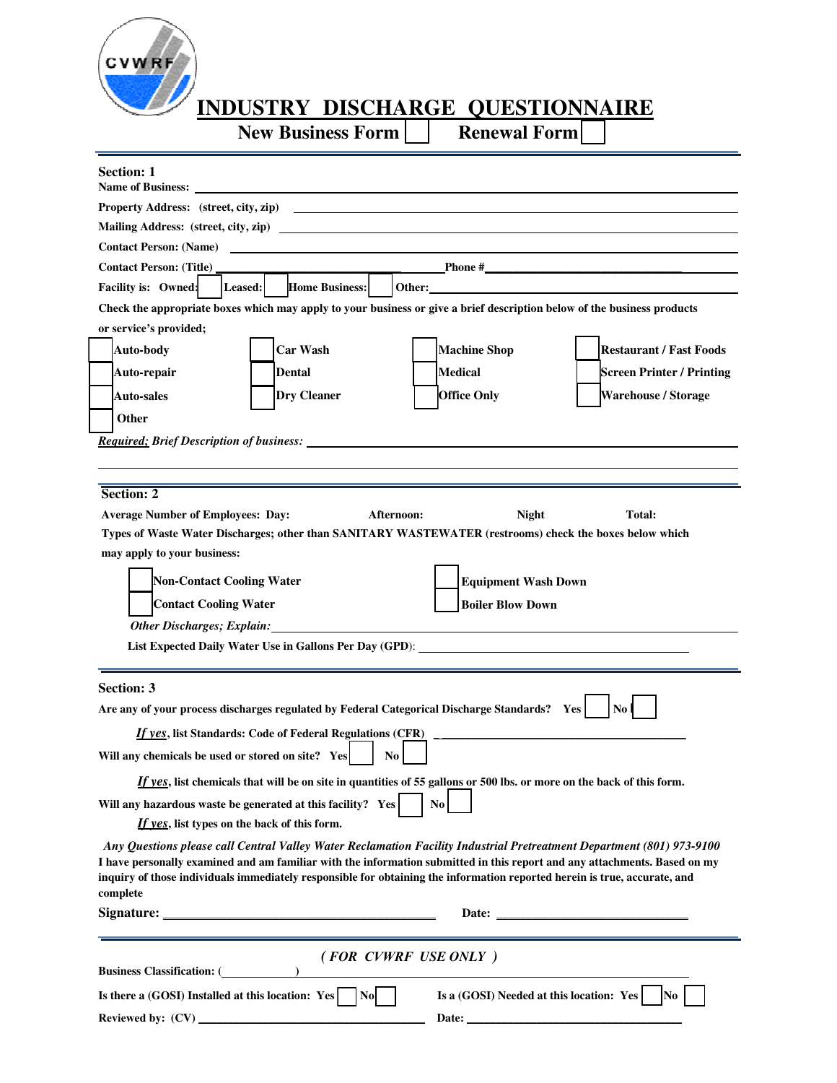

## **INDUSTRY DISCHARGE QUESTIONNAIRE**<br>
New Business Form Renewal Form

**New Business Form** 

| <b>Section: 1</b><br>Name of Business: Name of Business:                                                                              |  |  |  |  |
|---------------------------------------------------------------------------------------------------------------------------------------|--|--|--|--|
| <b>Property Address:</b> (street, city, zip)                                                                                          |  |  |  |  |
| Mailing Address: (street, city, zip)                                                                                                  |  |  |  |  |
| Contact Person: (Name)                                                                                                                |  |  |  |  |
| Contact Person: (Title)                                                                                                               |  |  |  |  |
| Facility is: Owned:<br>Leased:<br><b>Home Business:</b>                                                                               |  |  |  |  |
| Check the appropriate boxes which may apply to your business or give a brief description below of the business products               |  |  |  |  |
| or service's provided;                                                                                                                |  |  |  |  |
| <b>Car Wash</b><br><b>Machine Shop</b><br>Auto-body<br><b>Restaurant / Fast Foods</b>                                                 |  |  |  |  |
| <b>Medical</b><br>Auto-repair<br>Dental<br><b>Screen Printer / Printing</b>                                                           |  |  |  |  |
| <b>Dry Cleaner</b><br><b>Office Only</b><br><b>Warehouse / Storage</b><br>Auto-sales                                                  |  |  |  |  |
| Other                                                                                                                                 |  |  |  |  |
|                                                                                                                                       |  |  |  |  |
|                                                                                                                                       |  |  |  |  |
|                                                                                                                                       |  |  |  |  |
| Section: 2                                                                                                                            |  |  |  |  |
| <b>Average Number of Employees: Day:</b><br>Afternoon:<br><b>Night</b><br><b>Total:</b>                                               |  |  |  |  |
| Types of Waste Water Discharges; other than SANITARY WASTEWATER (restrooms) check the boxes below which                               |  |  |  |  |
| may apply to your business:                                                                                                           |  |  |  |  |
| <b>Non-Contact Cooling Water</b><br><b>Equipment Wash Down</b>                                                                        |  |  |  |  |
| <b>Contact Cooling Water</b><br><b>Boiler Blow Down</b>                                                                               |  |  |  |  |
| <u> 1980 - Andrea Andrew Maria (h. 1980).</u>                                                                                         |  |  |  |  |
| List Expected Daily Water Use in Gallons Per Day (GPD): _________________________                                                     |  |  |  |  |
|                                                                                                                                       |  |  |  |  |
| <b>Section: 3</b>                                                                                                                     |  |  |  |  |
| Are any of your process discharges regulated by Federal Categorical Discharge Standards? Yes<br>No                                    |  |  |  |  |
| <u>If yes, list Standards: Code of Federal Regulations (CFR)</u>                                                                      |  |  |  |  |
| Will any chemicals be used or stored on site? Yes<br>No.                                                                              |  |  |  |  |
| If yes, list chemicals that will be on site in quantities of 55 gallons or 500 lbs. or more on the back of this form.                 |  |  |  |  |
| $\overline{N_0}$<br>Will any hazardous waste be generated at this facility? Yes                                                       |  |  |  |  |
| If yes, list types on the back of this form.                                                                                          |  |  |  |  |
| Any Questions please call Central Valley Water Reclamation Facility Industrial Pretreatment Department (801) 973-9100                 |  |  |  |  |
| I have personally examined and am familiar with the information submitted in this report and any attachments. Based on my             |  |  |  |  |
| inquiry of those individuals immediately responsible for obtaining the information reported herein is true, accurate, and<br>complete |  |  |  |  |
|                                                                                                                                       |  |  |  |  |
|                                                                                                                                       |  |  |  |  |
| (FOR CVWRF USE ONLY)                                                                                                                  |  |  |  |  |
| <b>Business Classification:</b> ( <i>Comparement</i> )                                                                                |  |  |  |  |
| Is there a (GOSI) Installed at this location: $Yes$    No <br>Is a (GOSI) Needed at this location: Yes<br>N <sub>0</sub>              |  |  |  |  |
|                                                                                                                                       |  |  |  |  |